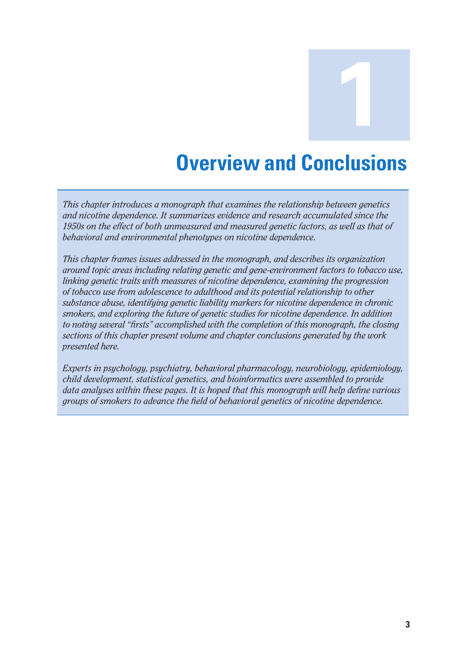**Overview and Conclusions** 

**1**

*This chapter introduces a monograph that examines the relationship between genetics and nicotine dependence. It summarizes evidence and research accumulated since the 1950s on the effect of both unmeasured and measured genetic factors, as well as that of behavioral and environmental phenotypes on nicotine dependence.* 

*This chapter frames issues addressed in the monograph, and describes its organization around topic areas including relating genetic and gene-environment factors to tobacco use, linking genetic traits with measures of nicotine dependence, examining the progression of tobacco use from adolescence to adulthood and its potential relationship to other substance abuse, identifying genetic liability markers for nicotine dependence in chronic smokers, and exploring the future of genetic studies for nicotine dependence. In addition to noting several "firsts" accomplished with the completion of this monograph, the closing sections of this chapter present volume and chapter conclusions generated by the work presented here.* 

*Experts in psychology, psychiatry, behavioral pharmacology, neurobiology, epidemiology, child development, statistical genetics, and bioinformatics were assembled to provide data analyses within these pages. It is hoped that this monograph will help define various groups of smokers to advance the field of behavioral genetics of nicotine dependence.*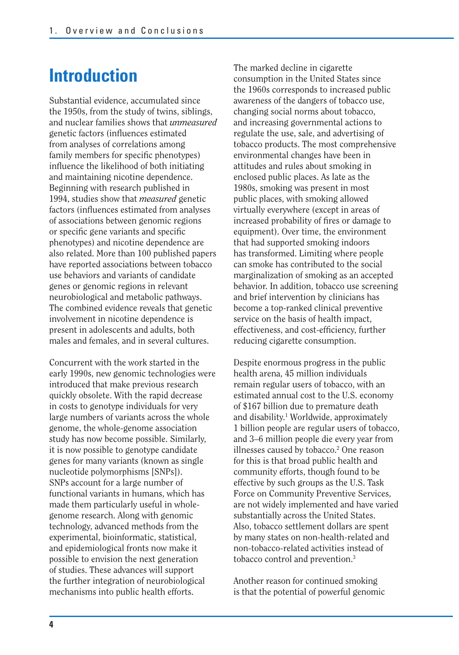## **Introduction**

Substantial evidence, accumulated since the 1950s, from the study of twins, siblings, and nuclear families shows that *unmeasured*  genetic factors (influences estimated from analyses of correlations among family members for specific phenotypes) influence the likelihood of both initiating and maintaining nicotine dependence. Beginning with research published in 1994, studies show that *measured* genetic factors (influences estimated from analyses of associations between genomic regions or specific gene variants and specific phenotypes) and nicotine dependence are also related. More than 100 published papers have reported associations between tobacco use behaviors and variants of candidate genes or genomic regions in relevant neurobiological and metabolic pathways. The combined evidence reveals that genetic involvement in nicotine dependence is present in adolescents and adults, both males and females, and in several cultures.

Concurrent with the work started in the early 1990s, new genomic technologies were introduced that make previous research quickly obsolete. With the rapid decrease in costs to genotype individuals for very large numbers of variants across the whole genome, the whole-genome association study has now become possible. Similarly, it is now possible to genotype candidate genes for many variants (known as single nucleotide polymorphisms [SNPs]). SNPs account for a large number of functional variants in humans, which has made them particularly useful in wholegenome research. Along with genomic technology, advanced methods from the experimental, bioinformatic, statistical, and epidemiological fronts now make it possible to envision the next generation of studies. These advances will support the further integration of neurobiological mechanisms into public health efforts.

The marked decline in cigarette consumption in the United States since the 1960s corresponds to increased public awareness of the dangers of tobacco use, changing social norms about tobacco, and increasing governmental actions to regulate the use, sale, and advertising of tobacco products. The most comprehensive environmental changes have been in attitudes and rules about smoking in enclosed public places. As late as the 1980s, smoking was present in most public places, with smoking allowed virtually everywhere (except in areas of increased probability of fires or damage to equipment). Over time, the environment that had supported smoking indoors has transformed. Limiting where people can smoke has contributed to the social marginalization of smoking as an accepted behavior. In addition, tobacco use screening and brief intervention by clinicians has become a top-ranked clinical preventive service on the basis of health impact, effectiveness, and cost-efficiency, further reducing cigarette consumption.

Despite enormous progress in the public health arena, 45 million individuals remain regular users of tobacco, with an estimated annual cost to the U.S. economy of \$167 billion due to premature death and disability.<sup>1</sup> Worldwide, approximately 1 billion people are regular users of tobacco, and 3–6 million people die every year from illnesses caused by tobacco.<sup>2</sup> One reason for this is that broad public health and community efforts, though found to be effective by such groups as the U.S. Task Force on Community Preventive Services, are not widely implemented and have varied substantially across the United States. Also, tobacco settlement dollars are spent by many states on non-health-related and non-tobacco-related activities instead of tobacco control and prevention.3

Another reason for continued smoking is that the potential of powerful genomic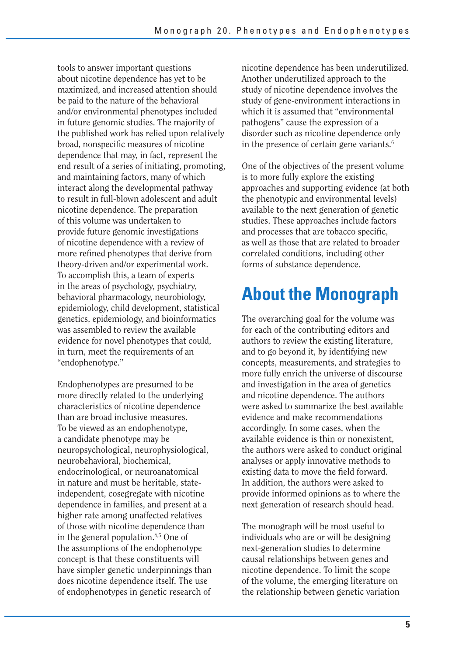tools to answer important questions about nicotine dependence has yet to be maximized, and increased attention should be paid to the nature of the behavioral and/or environmental phenotypes included in future genomic studies. The majority of the published work has relied upon relatively broad, nonspecific measures of nicotine dependence that may, in fact, represent the end result of a series of initiating, promoting, and maintaining factors, many of which interact along the developmental pathway to result in full-blown adolescent and adult nicotine dependence. The preparation of this volume was undertaken to provide future genomic investigations of nicotine dependence with a review of more refined phenotypes that derive from theory-driven and/or experimental work. To accomplish this, a team of experts in the areas of psychology, psychiatry, behavioral pharmacology, neurobiology, epidemiology, child development, statistical genetics, epidemiology, and bioinformatics was assembled to review the available evidence for novel phenotypes that could, in turn, meet the requirements of an "endophenotype."

Endophenotypes are presumed to be more directly related to the underlying characteristics of nicotine dependence than are broad inclusive measures. To be viewed as an endophenotype, a candidate phenotype may be neuropsychological, neurophysiological, neurobehavioral, biochemical, endocrinological, or neuroanatomical in nature and must be heritable, stateindependent, cosegregate with nicotine dependence in families, and present at a higher rate among unaffected relatives of those with nicotine dependence than in the general population.4,5 One of the assumptions of the endophenotype concept is that these constituents will have simpler genetic underpinnings than does nicotine dependence itself. The use of endophenotypes in genetic research of

nicotine dependence has been underutilized. Another underutilized approach to the study of nicotine dependence involves the study of gene-environment interactions in which it is assumed that "environmental pathogens" cause the expression of a disorder such as nicotine dependence only in the presence of certain gene variants. $6$ 

One of the objectives of the present volume is to more fully explore the existing approaches and supporting evidence (at both the phenotypic and environmental levels) available to the next generation of genetic studies. These approaches include factors and processes that are tobacco specific. as well as those that are related to broader correlated conditions, including other forms of substance dependence.

# **About the Monograph**

The overarching goal for the volume was for each of the contributing editors and authors to review the existing literature, and to go beyond it, by identifying new concepts, measurements, and strategies to more fully enrich the universe of discourse and investigation in the area of genetics and nicotine dependence. The authors were asked to summarize the best available evidence and make recommendations accordingly. In some cases, when the available evidence is thin or nonexistent, the authors were asked to conduct original analyses or apply innovative methods to existing data to move the field forward. In addition, the authors were asked to provide informed opinions as to where the next generation of research should head.

The monograph will be most useful to individuals who are or will be designing next-generation studies to determine causal relationships between genes and nicotine dependence. To limit the scope of the volume, the emerging literature on the relationship between genetic variation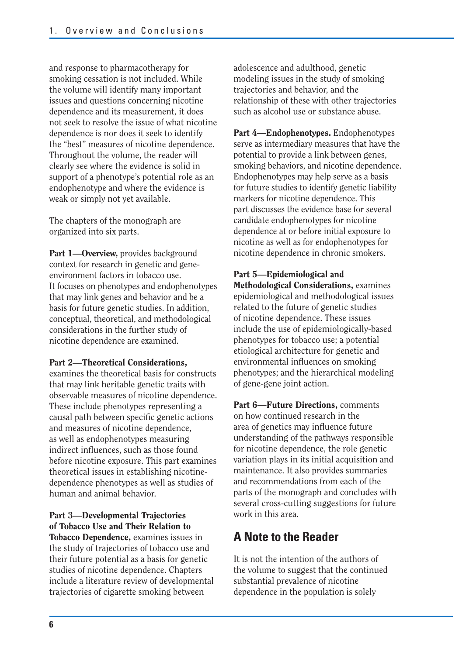and response to pharmacotherapy for smoking cessation is not included. While the volume will identify many important issues and questions concerning nicotine dependence and its measurement, it does not seek to resolve the issue of what nicotine dependence is nor does it seek to identify the "best" measures of nicotine dependence. Throughout the volume, the reader will clearly see where the evidence is solid in support of a phenotype's potential role as an endophenotype and where the evidence is weak or simply not yet available.

The chapters of the monograph are organized into six parts.

Part 1-Overview, provides background context for research in genetic and geneenvironment factors in tobacco use. It focuses on phenotypes and endophenotypes that may link genes and behavior and be a basis for future genetic studies. In addition, conceptual, theoretical, and methodological considerations in the further study of nicotine dependence are examined.

#### **Part 2—Theoretical Considerations,**

examines the theoretical basis for constructs that may link heritable genetic traits with observable measures of nicotine dependence. These include phenotypes representing a causal path between specific genetic actions and measures of nicotine dependence, as well as endophenotypes measuring indirect influences, such as those found before nicotine exposure. This part examines theoretical issues in establishing nicotinedependence phenotypes as well as studies of human and animal behavior.

#### **Part 3—Developmental Trajectories of Tobacco Use and Their Relation to**

**Tobacco Dependence,** examines issues in the study of trajectories of tobacco use and their future potential as a basis for genetic studies of nicotine dependence. Chapters include a literature review of developmental trajectories of cigarette smoking between

adolescence and adulthood, genetic modeling issues in the study of smoking trajectories and behavior, and the relationship of these with other trajectories such as alcohol use or substance abuse.

**Part 4—Endophenotypes.** Endophenotypes serve as intermediary measures that have the potential to provide a link between genes, smoking behaviors, and nicotine dependence. Endophenotypes may help serve as a basis for future studies to identify genetic liability markers for nicotine dependence. This part discusses the evidence base for several candidate endophenotypes for nicotine dependence at or before initial exposure to nicotine as well as for endophenotypes for nicotine dependence in chronic smokers.

#### **Part 5—Epidemiological and**

**Methodological Considerations,** examines epidemiological and methodological issues related to the future of genetic studies of nicotine dependence. These issues include the use of epidemiologically-based phenotypes for tobacco use; a potential etiological architecture for genetic and environmental influences on smoking phenotypes; and the hierarchical modeling of gene-gene joint action.

**Part 6—Future Directions,** comments on how continued research in the area of genetics may influence future understanding of the pathways responsible for nicotine dependence, the role genetic variation plays in its initial acquisition and maintenance. It also provides summaries and recommendations from each of the parts of the monograph and concludes with several cross-cutting suggestions for future work in this area.

## **A Note to the Reader**

It is not the intention of the authors of the volume to suggest that the continued substantial prevalence of nicotine dependence in the population is solely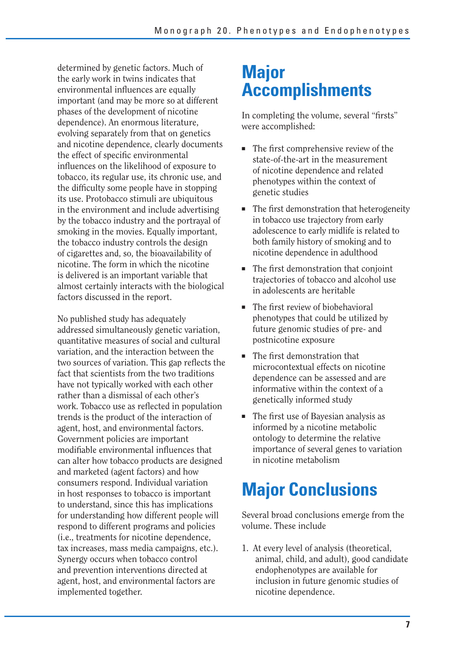determined by genetic factors. Much of the early work in twins indicates that environmental influences are equally important (and may be more so at different phases of the development of nicotine dependence). An enormous literature, evolving separately from that on genetics and nicotine dependence, clearly documents the effect of specific environmental influences on the likelihood of exposure to tobacco, its regular use, its chronic use, and the difficulty some people have in stopping its use. Protobacco stimuli are ubiquitous in the environment and include advertising by the tobacco industry and the portrayal of smoking in the movies. Equally important, the tobacco industry controls the design of cigarettes and, so, the bioavailability of nicotine. The form in which the nicotine is delivered is an important variable that almost certainly interacts with the biological factors discussed in the report.

No published study has adequately addressed simultaneously genetic variation, quantitative measures of social and cultural variation, and the interaction between the two sources of variation. This gap reflects the fact that scientists from the two traditions have not typically worked with each other rather than a dismissal of each other's work. Tobacco use as reflected in population trends is the product of the interaction of agent, host, and environmental factors. Government policies are important modifiable environmental influences that can alter how tobacco products are designed and marketed (agent factors) and how consumers respond. Individual variation in host responses to tobacco is important to understand, since this has implications for understanding how different people will respond to different programs and policies (i.e., treatments for nicotine dependence, tax increases, mass media campaigns, etc.). Synergy occurs when tobacco control and prevention interventions directed at agent, host, and environmental factors are implemented together.

## **Major Accomplishments**

In completing the volume, several "firsts" were accomplished:

- The first comprehensive review of the state-of-the-art in the measurement of nicotine dependence and related phenotypes within the context of genetic studies
- The first demonstration that heterogeneity in tobacco use trajectory from early adolescence to early midlife is related to both family history of smoking and to nicotine dependence in adulthood
- The first demonstration that conjoint trajectories of tobacco and alcohol use in adolescents are heritable
- The first review of biobehavioral phenotypes that could be utilized by future genomic studies of pre- and postnicotine exposure
- The first demonstration that microcontextual effects on nicotine dependence can be assessed and are informative within the context of a genetically informed study
- The first use of Bayesian analysis as informed by a nicotine metabolic ontology to determine the relative importance of several genes to variation in nicotine metabolism

# **Major Conclusions**

Several broad conclusions emerge from the volume. These include

1. At every level of analysis (theoretical, animal, child, and adult), good candidate endophenotypes are available for inclusion in future genomic studies of nicotine dependence.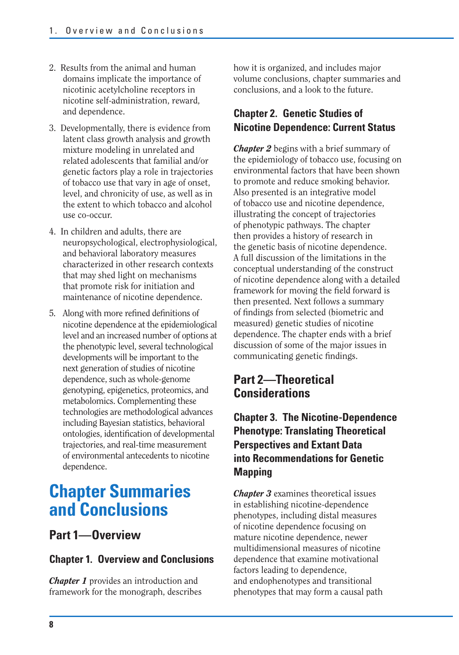- 2. Results from the animal and human domains implicate the importance of nicotinic acetylcholine receptors in nicotine self-administration, reward, and dependence.
- 3. Developmentally, there is evidence from latent class growth analysis and growth mixture modeling in unrelated and related adolescents that familial and/or genetic factors play a role in trajectories of tobacco use that vary in age of onset, level, and chronicity of use, as well as in the extent to which tobacco and alcohol use co-occur.
- 4. In children and adults, there are neuropsychological, electrophysiological, and behavioral laboratory measures characterized in other research contexts that may shed light on mechanisms that promote risk for initiation and maintenance of nicotine dependence.
- 5. Along with more refined definitions of nicotine dependence at the epidemiological level and an increased number of options at the phenotypic level, several technological developments will be important to the next generation of studies of nicotine dependence, such as whole-genome genotyping, epigenetics, proteomics, and metabolomics. Complementing these technologies are methodological advances including Bayesian statistics, behavioral ontologies, identification of developmental trajectories, and real-time measurement of environmental antecedents to nicotine dependence.

## **Chapter Summaries and Conclusions**

## **Part 1—Overview**

### **Chapter 1. Overview and Conclusions**

*Chapter 1* provides an introduction and framework for the monograph, describes

how it is organized, and includes major volume conclusions, chapter summaries and conclusions, and a look to the future.

## **Chapter 2. Genetic Studies of Nicotine Dependence: Current Status**

*Chapter 2* begins with a brief summary of the epidemiology of tobacco use, focusing on environmental factors that have been shown to promote and reduce smoking behavior. Also presented is an integrative model of tobacco use and nicotine dependence, illustrating the concept of trajectories of phenotypic pathways. The chapter then provides a history of research in the genetic basis of nicotine dependence. A full discussion of the limitations in the conceptual understanding of the construct of nicotine dependence along with a detailed framework for moving the field forward is then presented. Next follows a summary of findings from selected (biometric and measured) genetic studies of nicotine dependence. The chapter ends with a brief discussion of some of the major issues in communicating genetic findings.

## **Part 2—Theoretical Considerations**

## **Chapter 3. The Nicotine-Dependence Phenotype: Translating Theoretical Perspectives and Extant Data into Recommendations for Genetic Mapping**

*Chapter 3* examines theoretical issues in establishing nicotine-dependence phenotypes, including distal measures of nicotine dependence focusing on mature nicotine dependence, newer multidimensional measures of nicotine dependence that examine motivational factors leading to dependence, and endophenotypes and transitional phenotypes that may form a causal path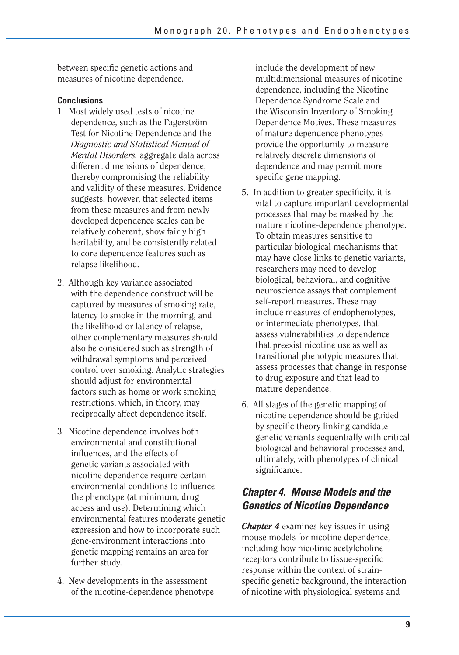between specific genetic actions and measures of nicotine dependence.

#### **Conclusions**

- 1. Most widely used tests of nicotine dependence, such as the Fagerström Test for Nicotine Dependence and the *Diagnostic and Statistical Manual of Mental Disorders,* aggregate data across different dimensions of dependence, thereby compromising the reliability and validity of these measures. Evidence suggests, however, that selected items from these measures and from newly developed dependence scales can be relatively coherent, show fairly high heritability, and be consistently related to core dependence features such as relapse likelihood.
- 2. Although key variance associated with the dependence construct will be captured by measures of smoking rate, latency to smoke in the morning, and the likelihood or latency of relapse, other complementary measures should also be considered such as strength of withdrawal symptoms and perceived control over smoking. Analytic strategies should adjust for environmental factors such as home or work smoking restrictions, which, in theory, may reciprocally affect dependence itself.
- 3. Nicotine dependence involves both environmental and constitutional influences, and the effects of genetic variants associated with nicotine dependence require certain environmental conditions to influence the phenotype (at minimum, drug access and use). Determining which environmental features moderate genetic expression and how to incorporate such gene-environment interactions into genetic mapping remains an area for further study.
- 4. New developments in the assessment of the nicotine-dependence phenotype

include the development of new multidimensional measures of nicotine dependence, including the Nicotine Dependence Syndrome Scale and the Wisconsin Inventory of Smoking Dependence Motives. These measures of mature dependence phenotypes provide the opportunity to measure relatively discrete dimensions of dependence and may permit more specific gene mapping.

- 5. In addition to greater specificity, it is vital to capture important developmental processes that may be masked by the mature nicotine-dependence phenotype. To obtain measures sensitive to particular biological mechanisms that may have close links to genetic variants, researchers may need to develop biological, behavioral, and cognitive neuroscience assays that complement self-report measures. These may include measures of endophenotypes, or intermediate phenotypes, that assess vulnerabilities to dependence that preexist nicotine use as well as transitional phenotypic measures that assess processes that change in response to drug exposure and that lead to mature dependence.
- 6. All stages of the genetic mapping of nicotine dependence should be guided by specific theory linking candidate genetic variants sequentially with critical biological and behavioral processes and, ultimately, with phenotypes of clinical significance.

## *Chapter 4. Mouse Models and the Genetics of Nicotine Dependence*

*Chapter 4* examines key issues in using mouse models for nicotine dependence, including how nicotinic acetylcholine receptors contribute to tissue-specific response within the context of strainspecific genetic background, the interaction of nicotine with physiological systems and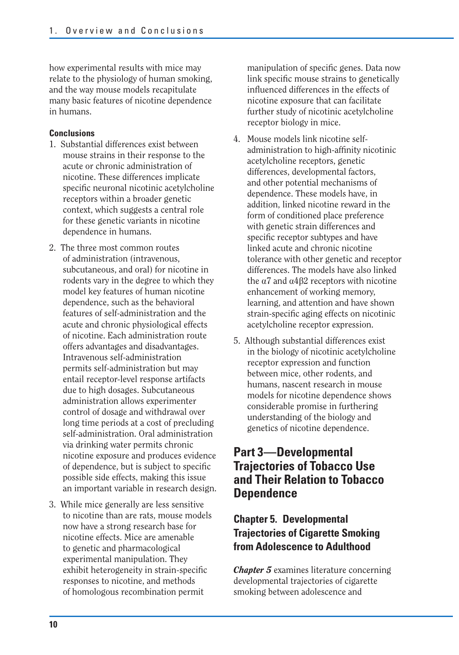how experimental results with mice may relate to the physiology of human smoking, and the way mouse models recapitulate many basic features of nicotine dependence in humans.

#### **Conclusions**

- 1. Substantial differences exist between mouse strains in their response to the acute or chronic administration of nicotine. These differences implicate specific neuronal nicotinic acetylcholine receptors within a broader genetic context, which suggests a central role for these genetic variants in nicotine dependence in humans.
- 2. The three most common routes of administration (intravenous, subcutaneous, and oral) for nicotine in rodents vary in the degree to which they model key features of human nicotine dependence, such as the behavioral features of self-administration and the acute and chronic physiological effects of nicotine. Each administration route offers advantages and disadvantages. Intravenous self-administration permits self-administration but may entail receptor-level response artifacts due to high dosages. Subcutaneous administration allows experimenter control of dosage and withdrawal over long time periods at a cost of precluding self-administration. Oral administration via drinking water permits chronic nicotine exposure and produces evidence of dependence, but is subject to specific possible side effects, making this issue an important variable in research design.
- 3. While mice generally are less sensitive to nicotine than are rats, mouse models now have a strong research base for nicotine effects. Mice are amenable to genetic and pharmacological experimental manipulation. They exhibit heterogeneity in strain-specific responses to nicotine, and methods of homologous recombination permit

manipulation of specific genes. Data now link specific mouse strains to genetically influenced differences in the effects of nicotine exposure that can facilitate further study of nicotinic acetylcholine receptor biology in mice.

- 4. Mouse models link nicotine selfadministration to high-affinity nicotinic acetylcholine receptors, genetic differences, developmental factors, and other potential mechanisms of dependence. These models have, in addition, linked nicotine reward in the form of conditioned place preference with genetic strain differences and specific receptor subtypes and have linked acute and chronic nicotine tolerance with other genetic and receptor differences. The models have also linked the  $\alpha$ 7 and  $\alpha$ 4 $\beta$ 2 receptors with nicotine enhancement of working memory, learning, and attention and have shown strain-specific aging effects on nicotinic acetylcholine receptor expression.
- 5. Although substantial differences exist in the biology of nicotinic acetylcholine receptor expression and function between mice, other rodents, and humans, nascent research in mouse models for nicotine dependence shows considerable promise in furthering understanding of the biology and genetics of nicotine dependence.

## **Part 3—Developmental Trajectories of Tobacco Use and Their Relation to Tobacco Dependence**

## **Chapter 5. Developmental Trajectories of Cigarette Smoking from Adolescence to Adulthood**

*Chapter 5* examines literature concerning developmental trajectories of cigarette smoking between adolescence and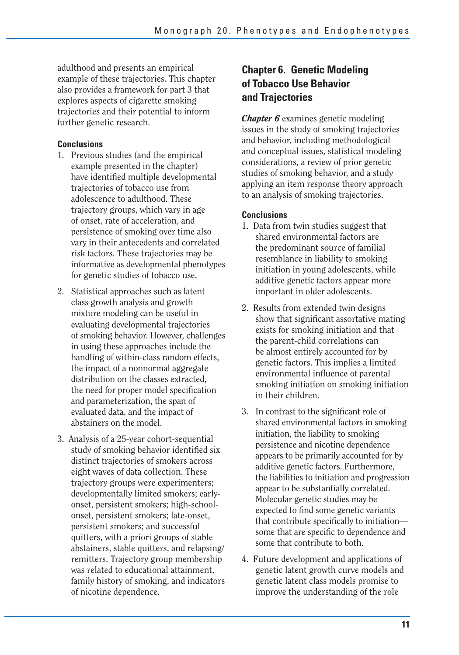adulthood and presents an empirical example of these trajectories. This chapter also provides a framework for part 3 that explores aspects of cigarette smoking trajectories and their potential to inform further genetic research.

#### **Conclusions**

- 1. Previous studies (and the empirical example presented in the chapter) have identified multiple developmental trajectories of tobacco use from adolescence to adulthood. These trajectory groups, which vary in age of onset, rate of acceleration, and persistence of smoking over time also vary in their antecedents and correlated risk factors. These trajectories may be informative as developmental phenotypes for genetic studies of tobacco use.
- 2. Statistical approaches such as latent class growth analysis and growth mixture modeling can be useful in evaluating developmental trajectories of smoking behavior. However, challenges in using these approaches include the handling of within-class random effects, the impact of a nonnormal aggregate distribution on the classes extracted, the need for proper model specification and parameterization, the span of evaluated data, and the impact of abstainers on the model.
- 3. Analysis of a 25-year cohort-sequential study of smoking behavior identified six distinct trajectories of smokers across eight waves of data collection. These trajectory groups were experimenters; developmentally limited smokers; earlyonset, persistent smokers; high-schoolonset, persistent smokers; late-onset, persistent smokers; and successful quitters, with a priori groups of stable abstainers, stable quitters, and relapsing/ remitters. Trajectory group membership was related to educational attainment, family history of smoking, and indicators of nicotine dependence.

## **Chapter 6. Genetic Modeling of Tobacco Use Behavior and Trajectories**

*Chapter 6* examines genetic modeling issues in the study of smoking trajectories and behavior, including methodological and conceptual issues, statistical modeling considerations, a review of prior genetic studies of smoking behavior, and a study applying an item response theory approach to an analysis of smoking trajectories.

#### **Conclusions**

- 1. Data from twin studies suggest that shared environmental factors are the predominant source of familial resemblance in liability to smoking initiation in young adolescents, while additive genetic factors appear more important in older adolescents.
- 2. Results from extended twin designs show that significant assortative mating exists for smoking initiation and that the parent-child correlations can be almost entirely accounted for by genetic factors. This implies a limited environmental influence of parental smoking initiation on smoking initiation in their children.
- 3. In contrast to the significant role of shared environmental factors in smoking initiation, the liability to smoking persistence and nicotine dependence appears to be primarily accounted for by additive genetic factors. Furthermore, the liabilities to initiation and progression appear to be substantially correlated. Molecular genetic studies may be expected to find some genetic variants that contribute specifically to initiation some that are specific to dependence and some that contribute to both.
- 4. Future development and applications of genetic latent growth curve models and genetic latent class models promise to improve the understanding of the role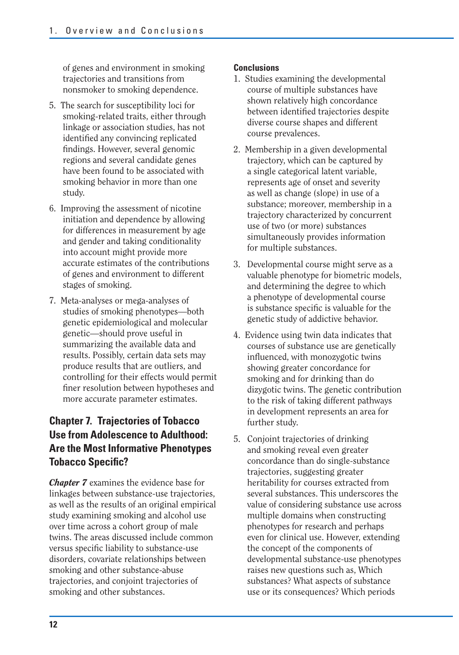of genes and environment in smoking trajectories and transitions from nonsmoker to smoking dependence.

- 5. The search for susceptibility loci for smoking-related traits, either through linkage or association studies, has not identified any convincing replicated findings. However, several genomic regions and several candidate genes have been found to be associated with smoking behavior in more than one study.
- 6. Improving the assessment of nicotine initiation and dependence by allowing for differences in measurement by age and gender and taking conditionality into account might provide more accurate estimates of the contributions of genes and environment to different stages of smoking.
- 7. Meta-analyses or mega-analyses of studies of smoking phenotypes—both genetic epidemiological and molecular genetic—should prove useful in summarizing the available data and results. Possibly, certain data sets may produce results that are outliers, and controlling for their effects would permit finer resolution between hypotheses and more accurate parameter estimates.

## **Chapter 7. Trajectories of Tobacco Use from Adolescence to Adulthood: Are the Most Informative Phenotypes Tobacco Specific?**

*Chapter 7* examines the evidence base for linkages between substance-use trajectories, as well as the results of an original empirical study examining smoking and alcohol use over time across a cohort group of male twins. The areas discussed include common versus specific liability to substance-use disorders, covariate relationships between smoking and other substance-abuse trajectories, and conjoint trajectories of smoking and other substances.

#### **Conclusions**

- 1. Studies examining the developmental course of multiple substances have shown relatively high concordance between identified trajectories despite diverse course shapes and different course prevalences.
- 2. Membership in a given developmental trajectory, which can be captured by a single categorical latent variable, represents age of onset and severity as well as change (slope) in use of a substance; moreover, membership in a trajectory characterized by concurrent use of two (or more) substances simultaneously provides information for multiple substances.
- 3. Developmental course might serve as a valuable phenotype for biometric models, and determining the degree to which a phenotype of developmental course is substance specific is valuable for the genetic study of addictive behavior.
- 4. Evidence using twin data indicates that courses of substance use are genetically influenced, with monozygotic twins showing greater concordance for smoking and for drinking than do dizygotic twins. The genetic contribution to the risk of taking different pathways in development represents an area for further study.
- 5. Conjoint trajectories of drinking and smoking reveal even greater concordance than do single-substance trajectories, suggesting greater heritability for courses extracted from several substances. This underscores the value of considering substance use across multiple domains when constructing phenotypes for research and perhaps even for clinical use. However, extending the concept of the components of developmental substance-use phenotypes raises new questions such as, Which substances? What aspects of substance use or its consequences? Which periods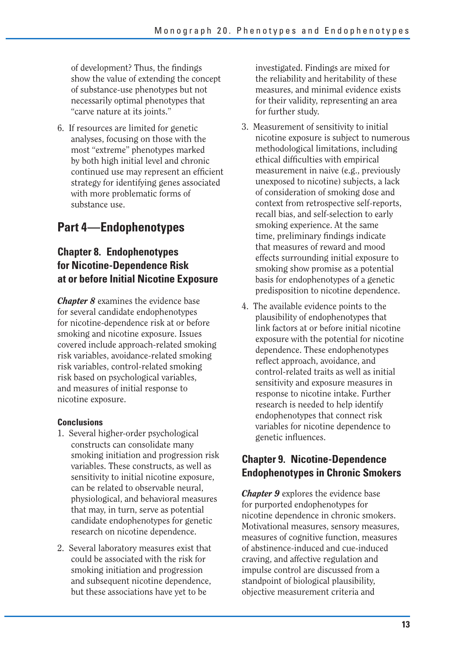of development? Thus, the findings show the value of extending the concept of substance-use phenotypes but not necessarily optimal phenotypes that "carve nature at its joints."

6. If resources are limited for genetic analyses, focusing on those with the most "extreme" phenotypes marked by both high initial level and chronic continued use may represent an efficient strategy for identifying genes associated with more problematic forms of substance use.

## **Part 4 —Endophenotypes**

## **Chapter 8. Endophenotypes for Nicotine-Dependence Risk at or before Initial Nicotine Exposure**

*Chapter 8* examines the evidence base for several candidate endophenotypes for nicotine-dependence risk at or before smoking and nicotine exposure. Issues covered include approach-related smoking risk variables, avoidance-related smoking risk variables, control-related smoking risk based on psychological variables, and measures of initial response to nicotine exposure.

#### **Conclusions**

- 1. Several higher-order psychological constructs can consolidate many smoking initiation and progression risk variables. These constructs, as well as sensitivity to initial nicotine exposure, can be related to observable neural, physiological, and behavioral measures that may, in turn, serve as potential candidate endophenotypes for genetic research on nicotine dependence.
- 2. Several laboratory measures exist that could be associated with the risk for smoking initiation and progression and subsequent nicotine dependence, but these associations have yet to be

investigated. Findings are mixed for the reliability and heritability of these measures, and minimal evidence exists for their validity, representing an area for further study.

- 3. Measurement of sensitivity to initial nicotine exposure is subject to numerous methodological limitations, including ethical difficulties with empirical measurement in naive (e.g., previously unexposed to nicotine) subjects, a lack of consideration of smoking dose and context from retrospective self-reports, recall bias, and self-selection to early smoking experience. At the same time, preliminary findings indicate that measures of reward and mood effects surrounding initial exposure to smoking show promise as a potential basis for endophenotypes of a genetic predisposition to nicotine dependence.
- 4. The available evidence points to the plausibility of endophenotypes that link factors at or before initial nicotine exposure with the potential for nicotine dependence. These endophenotypes reflect approach, avoidance, and control-related traits as well as initial sensitivity and exposure measures in response to nicotine intake. Further research is needed to help identify endophenotypes that connect risk variables for nicotine dependence to genetic influences.

## **Chapter 9. Nicotine-Dependence Endophenotypes in Chronic Smokers**

*Chapter 9* explores the evidence base for purported endophenotypes for nicotine dependence in chronic smokers. Motivational measures, sensory measures, measures of cognitive function, measures of abstinence-induced and cue-induced craving, and affective regulation and impulse control are discussed from a standpoint of biological plausibility, objective measurement criteria and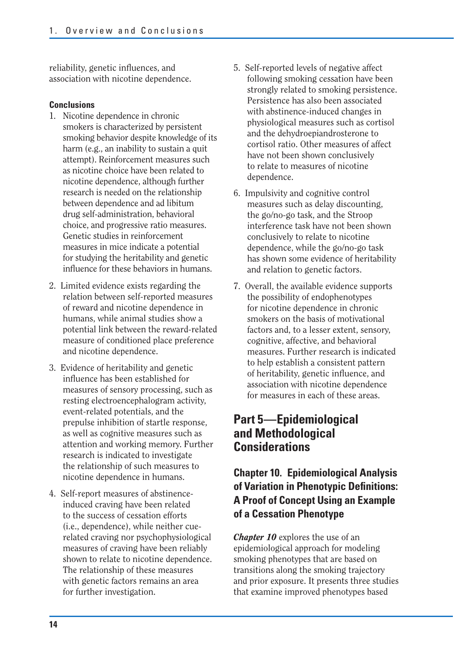reliability, genetic influences, and association with nicotine dependence.

#### **Conclusions**

- 1. Nicotine dependence in chronic smokers is characterized by persistent smoking behavior despite knowledge of its harm (e.g., an inability to sustain a quit attempt). Reinforcement measures such as nicotine choice have been related to nicotine dependence, although further research is needed on the relationship between dependence and ad libitum drug self-administration, behavioral choice, and progressive ratio measures. Genetic studies in reinforcement measures in mice indicate a potential for studying the heritability and genetic influence for these behaviors in humans.
- 2. Limited evidence exists regarding the relation between self-reported measures of reward and nicotine dependence in humans, while animal studies show a potential link between the reward-related measure of conditioned place preference and nicotine dependence.
- 3. Evidence of heritability and genetic influence has been established for measures of sensory processing, such as resting electroencephalogram activity, event-related potentials, and the prepulse inhibition of startle response, as well as cognitive measures such as attention and working memory. Further research is indicated to investigate the relationship of such measures to nicotine dependence in humans.
- 4. Self-report measures of abstinenceinduced craving have been related to the success of cessation efforts (i.e., dependence), while neither cuerelated craving nor psychophysiological measures of craving have been reliably shown to relate to nicotine dependence. The relationship of these measures with genetic factors remains an area for further investigation.
- 5. Self-reported levels of negative affect following smoking cessation have been strongly related to smoking persistence. Persistence has also been associated with abstinence-induced changes in physiological measures such as cortisol and the dehydroepiandrosterone to cortisol ratio. Other measures of affect have not been shown conclusively to relate to measures of nicotine dependence.
- 6. Impulsivity and cognitive control measures such as delay discounting, the go/no-go task, and the Stroop interference task have not been shown conclusively to relate to nicotine dependence, while the go/no-go task has shown some evidence of heritability and relation to genetic factors.
- 7. Overall, the available evidence supports the possibility of endophenotypes for nicotine dependence in chronic smokers on the basis of motivational factors and, to a lesser extent, sensory, cognitive, affective, and behavioral measures. Further research is indicated to help establish a consistent pattern of heritability, genetic influence, and association with nicotine dependence for measures in each of these areas.

## **Part 5 —Epidemiological and Methodological Considerations**

## **Chapter 10. Epidemiological Analysis of Variation in Phenotypic Definitions: A Proof of Concept Using an Example of a Cessation Phenotype**

*Chapter 10* explores the use of an epidemiological approach for modeling smoking phenotypes that are based on transitions along the smoking trajectory and prior exposure. It presents three studies that examine improved phenotypes based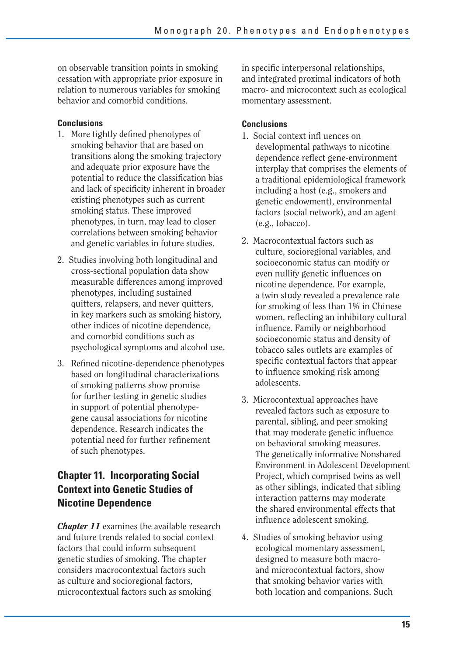on observable transition points in smoking cessation with appropriate prior exposure in relation to numerous variables for smoking behavior and comorbid conditions.

#### **Conclusions**

- 1. More tightly defined phenotypes of smoking behavior that are based on transitions along the smoking trajectory and adequate prior exposure have the potential to reduce the classification bias and lack of specificity inherent in broader existing phenotypes such as current smoking status. These improved phenotypes, in turn, may lead to closer correlations between smoking behavior and genetic variables in future studies.
- 2. Studies involving both longitudinal and cross-sectional population data show measurable differences among improved phenotypes, including sustained quitters, relapsers, and never quitters, in key markers such as smoking history, other indices of nicotine dependence, and comorbid conditions such as psychological symptoms and alcohol use.
- 3. Refined nicotine-dependence phenotypes based on longitudinal characterizations of smoking patterns show promise for further testing in genetic studies in support of potential phenotypegene causal associations for nicotine dependence. Research indicates the potential need for further refinement of such phenotypes.

## **Chapter 11. Incorporating Social Context into Genetic Studies of Nicotine Dependence**

*Chapter 11* examines the available research and future trends related to social context factors that could inform subsequent genetic studies of smoking. The chapter considers macrocontextual factors such as culture and socioregional factors, microcontextual factors such as smoking

in specific interpersonal relationships, and integrated proximal indicators of both macro- and microcontext such as ecological momentary assessment.

#### **Conclusions**

- 1. Social context infl uences on developmental pathways to nicotine dependence reflect gene-environment interplay that comprises the elements of a traditional epidemiological framework including a host (e.g., smokers and genetic endowment), environmental factors (social network), and an agent (e.g., tobacco).
- 2. Macrocontextual factors such as culture, socioregional variables, and socioeconomic status can modify or even nullify genetic influences on nicotine dependence. For example, a twin study revealed a prevalence rate for smoking of less than 1% in Chinese women, reflecting an inhibitory cultural influence. Family or neighborhood socioeconomic status and density of tobacco sales outlets are examples of specific contextual factors that appear to influence smoking risk among adolescents.
- 3. Microcontextual approaches have revealed factors such as exposure to parental, sibling, and peer smoking that may moderate genetic influence on behavioral smoking measures. The genetically informative Nonshared Environment in Adolescent Development Project, which comprised twins as well as other siblings, indicated that sibling interaction patterns may moderate the shared environmental effects that influence adolescent smoking.
- 4. Studies of smoking behavior using ecological momentary assessment, designed to measure both macroand microcontextual factors, show that smoking behavior varies with both location and companions. Such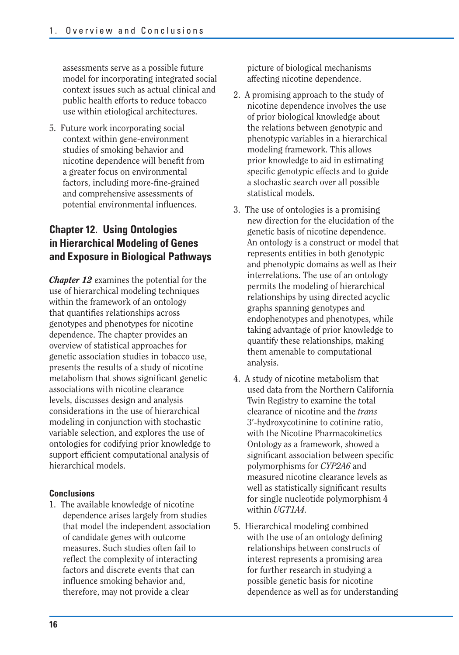assessments serve as a possible future model for incorporating integrated social context issues such as actual clinical and public health efforts to reduce tobacco use within etiological architectures.

5. Future work incorporating social context within gene-environment studies of smoking behavior and nicotine dependence will benefit from a greater focus on environmental factors, including more-fine-grained and comprehensive assessments of potential environmental influences.

## **Chapter 12. Using Ontologies in Hierarchical Modeling of Genes and Exposure in Biological Pathways**

*Chapter 12* examines the potential for the use of hierarchical modeling techniques within the framework of an ontology that quantifies relationships across genotypes and phenotypes for nicotine dependence. The chapter provides an overview of statistical approaches for genetic association studies in tobacco use, presents the results of a study of nicotine metabolism that shows significant genetic associations with nicotine clearance levels, discusses design and analysis considerations in the use of hierarchical modeling in conjunction with stochastic variable selection, and explores the use of ontologies for codifying prior knowledge to support efficient computational analysis of hierarchical models.

#### **Conclusions**

1. The available knowledge of nicotine dependence arises largely from studies that model the independent association of candidate genes with outcome measures. Such studies often fail to reflect the complexity of interacting factors and discrete events that can influence smoking behavior and, therefore, may not provide a clear

picture of biological mechanisms affecting nicotine dependence.

- 2. A promising approach to the study of nicotine dependence involves the use of prior biological knowledge about the relations between genotypic and phenotypic variables in a hierarchical modeling framework. This allows prior knowledge to aid in estimating specific genotypic effects and to guide a stochastic search over all possible statistical models.
- 3. The use of ontologies is a promising new direction for the elucidation of the genetic basis of nicotine dependence. An ontology is a construct or model that represents entities in both genotypic and phenotypic domains as well as their interrelations. The use of an ontology permits the modeling of hierarchical relationships by using directed acyclic graphs spanning genotypes and endophenotypes and phenotypes, while taking advantage of prior knowledge to quantify these relationships, making them amenable to computational analysis.
- 4. A study of nicotine metabolism that used data from the Northern California Twin Registry to examine the total clearance of nicotine and the *trans*  3-hydroxycotinine to cotinine ratio, with the Nicotine Pharmacokinetics Ontology as a framework, showed a significant association between specific polymorphisms for *CYP2A6* and measured nicotine clearance levels as well as statistically significant results for single nucleotide polymorphism 4 within *UGT1A4.*
- 5. Hierarchical modeling combined with the use of an ontology defining relationships between constructs of interest represents a promising area for further research in studying a possible genetic basis for nicotine dependence as well as for understanding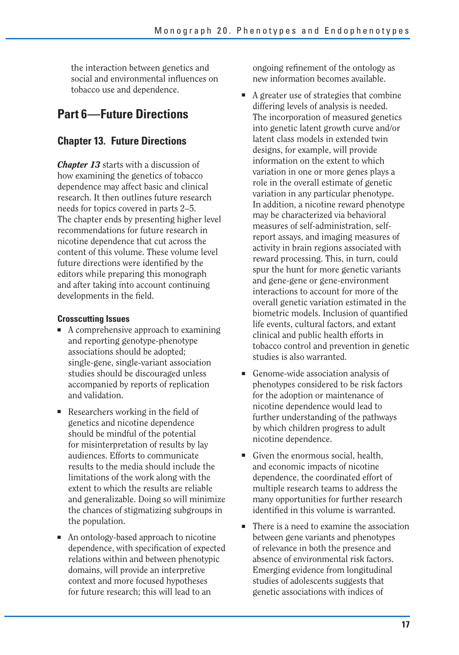the interaction between genetics and social and environmental influences on tobacco use and dependence.

## **Part 6—Future Directions**

## **Chapter 13. Future Directions**

*Chapter 13* starts with a discussion of how examining the genetics of tobacco dependence may affect basic and clinical research. It then outlines future research needs for topics covered in parts 2–5. The chapter ends by presenting higher level recommendations for future research in nicotine dependence that cut across the content of this volume. These volume level future directions were identified by the editors while preparing this monograph and after taking into account continuing developments in the field.

#### **Crosscutting Issues**

- A comprehensive approach to examining and reporting genotype-phenotype associations should be adopted; single-gene, single-variant association studies should be discouraged unless accompanied by reports of replication and validation.
- $\blacksquare$  Researchers working in the field of genetics and nicotine dependence should be mindful of the potential for misinterpretation of results by lay audiences. Efforts to communicate results to the media should include the limitations of the work along with the extent to which the results are reliable and generalizable. Doing so will minimize the chances of stigmatizing subgroups in the population.
- An ontology-based approach to nicotine dependence, with specification of expected relations within and between phenotypic domains, will provide an interpretive context and more focused hypotheses for future research; this will lead to an

ongoing refinement of the ontology as new information becomes available.

- A greater use of strategies that combine differing levels of analysis is needed. The incorporation of measured genetics into genetic latent growth curve and/or latent class models in extended twin designs, for example, will provide information on the extent to which variation in one or more genes plays a role in the overall estimate of genetic variation in any particular phenotype. In addition, a nicotine reward phenotype may be characterized via behavioral measures of self-administration, selfreport assays, and imaging measures of activity in brain regions associated with reward processing. This, in turn, could spur the hunt for more genetic variants and gene-gene or gene-environment interactions to account for more of the overall genetic variation estimated in the biometric models. Inclusion of quantified life events, cultural factors, and extant clinical and public health efforts in tobacco control and prevention in genetic studies is also warranted.
- Genome-wide association analysis of phenotypes considered to be risk factors for the adoption or maintenance of nicotine dependence would lead to further understanding of the pathways by which children progress to adult nicotine dependence.
- Given the enormous social, health, and economic impacts of nicotine dependence, the coordinated effort of multiple research teams to address the many opportunities for further research identified in this volume is warranted.
- There is a need to examine the association between gene variants and phenotypes of relevance in both the presence and absence of environmental risk factors. Emerging evidence from longitudinal studies of adolescents suggests that genetic associations with indices of